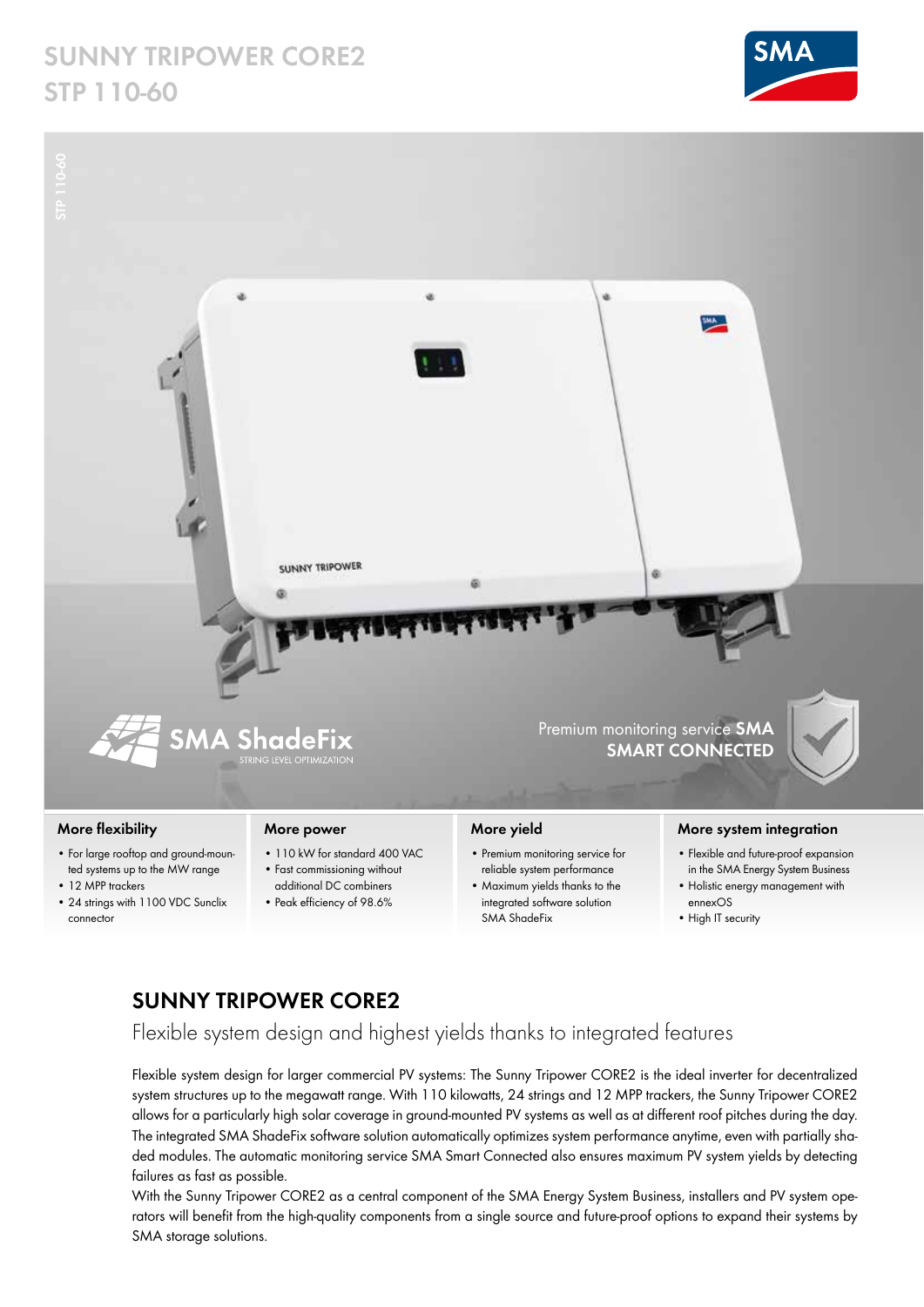# **SUNNY TRIPOWER CORE2 STP 110-60**





### **More flexibility**

- For large rooftop and ground-mounted systems up to the MW range
- 12 MPP trackers
- 24 strings with 1100 VDC Sunclix connector

### **More power**

- 110 kW for standard 400 VAC
- Fast commissioning without
- additional DC combiners • Peak efficiency of 98.6%

## **More yield**

- Premium monitoring service for reliable system performance
- Maximum yields thanks to the integrated software solution SMA ShadeFix

#### **More system integration**

- Flexible and future-proof expansion in the SMA Energy System Business
- Holistic energy management with ennexOS
- High IT security

## **SUNNY TRIPOWER CORE2**

Flexible system design and highest yields thanks to integrated features

Flexible system design for larger commercial PV systems: The Sunny Tripower CORE2 is the ideal inverter for decentralized system structures up to the megawatt range. With 110 kilowatts, 24 strings and 12 MPP trackers, the Sunny Tripower CORE2 allows for a particularly high solar coverage in ground-mounted PV systems as well as at different roof pitches during the day. The integrated SMA ShadeFix software solution automatically optimizes system performance anytime, even with partially shaded modules. The automatic monitoring service SMA Smart Connected also ensures maximum PV system yields by detecting failures as fast as possible.

With the Sunny Tripower CORE2 as a central component of the SMA Energy System Business, installers and PV system operators will benefit from the high-quality components from a single source and future-proof options to expand their systems by SMA storage solutions.